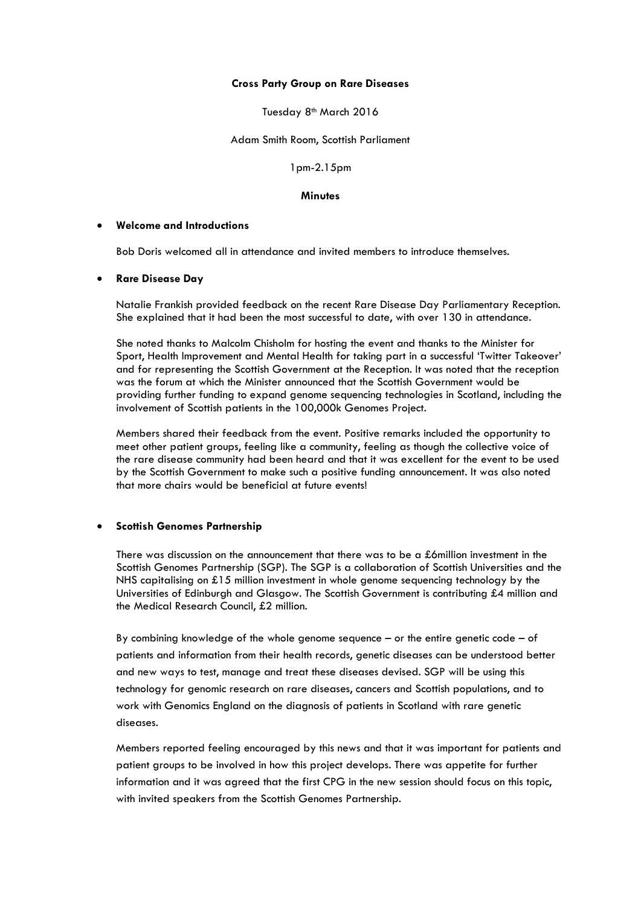#### **Cross Party Group on Rare Diseases**

Tuesday 8<sup>th</sup> March 2016

Adam Smith Room, Scottish Parliament

1pm-2.15pm

#### **Minutes**

#### **Welcome and Introductions**

Bob Doris welcomed all in attendance and invited members to introduce themselves.

#### **Rare Disease Day**

Natalie Frankish provided feedback on the recent Rare Disease Day Parliamentary Reception. She explained that it had been the most successful to date, with over 130 in attendance.

She noted thanks to Malcolm Chisholm for hosting the event and thanks to the Minister for Sport, Health Improvement and Mental Health for taking part in a successful 'Twitter Takeover' and for representing the Scottish Government at the Reception. It was noted that the reception was the forum at which the Minister announced that the Scottish Government would be providing further funding to expand genome sequencing technologies in Scotland, including the involvement of Scottish patients in the 100,000k Genomes Project.

Members shared their feedback from the event. Positive remarks included the opportunity to meet other patient groups, feeling like a community, feeling as though the collective voice of the rare disease community had been heard and that it was excellent for the event to be used by the Scottish Government to make such a positive funding announcement. It was also noted that more chairs would be beneficial at future events!

# **Scottish Genomes Partnership**

There was discussion on the announcement that there was to be a £6million investment in the Scottish Genomes Partnership (SGP). The SGP is a collaboration of Scottish Universities and the NHS capitalising on £15 million investment in whole genome sequencing technology by the Universities of Edinburgh and Glasgow. The Scottish Government is contributing £4 million and the Medical Research Council, £2 million.

By combining knowledge of the whole genome sequence – or the entire genetic code – of patients and information from their health records, genetic diseases can be understood better and new ways to test, manage and treat these diseases devised. SGP will be using this technology for genomic research on rare diseases, cancers and Scottish populations, and to work with Genomics England on the diagnosis of patients in Scotland with rare genetic diseases.

Members reported feeling encouraged by this news and that it was important for patients and patient groups to be involved in how this project develops. There was appetite for further information and it was agreed that the first CPG in the new session should focus on this topic, with invited speakers from the Scottish Genomes Partnership.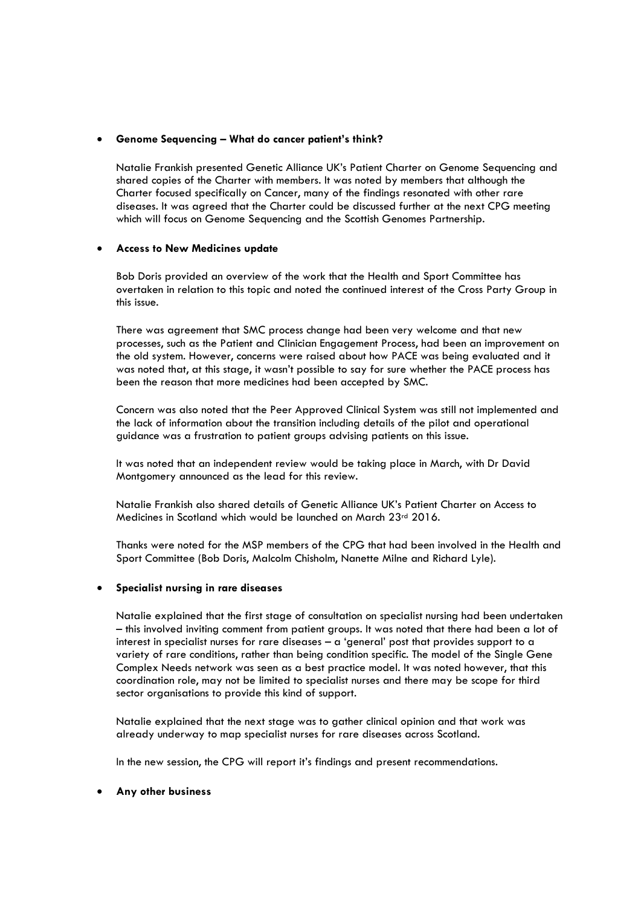# **Genome Sequencing – What do cancer patient's think?**

Natalie Frankish presented Genetic Alliance UK's Patient Charter on Genome Sequencing and shared copies of the Charter with members. It was noted by members that although the Charter focused specifically on Cancer, many of the findings resonated with other rare diseases. It was agreed that the Charter could be discussed further at the next CPG meeting which will focus on Genome Sequencing and the Scottish Genomes Partnership.

# **Access to New Medicines update**

Bob Doris provided an overview of the work that the Health and Sport Committee has overtaken in relation to this topic and noted the continued interest of the Cross Party Group in this issue.

There was agreement that SMC process change had been very welcome and that new processes, such as the Patient and Clinician Engagement Process, had been an improvement on the old system. However, concerns were raised about how PACE was being evaluated and it was noted that, at this stage, it wasn't possible to say for sure whether the PACE process has been the reason that more medicines had been accepted by SMC.

Concern was also noted that the Peer Approved Clinical System was still not implemented and the lack of information about the transition including details of the pilot and operational guidance was a frustration to patient groups advising patients on this issue.

It was noted that an independent review would be taking place in March, with Dr David Montgomery announced as the lead for this review.

Natalie Frankish also shared details of Genetic Alliance UK's Patient Charter on Access to Medicines in Scotland which would be launched on March 23rd 2016.

Thanks were noted for the MSP members of the CPG that had been involved in the Health and Sport Committee (Bob Doris, Malcolm Chisholm, Nanette Milne and Richard Lyle).

# **Specialist nursing in rare diseases**

Natalie explained that the first stage of consultation on specialist nursing had been undertaken – this involved inviting comment from patient groups. It was noted that there had been a lot of interest in specialist nurses for rare diseases – a 'general' post that provides support to a variety of rare conditions, rather than being condition specific. The model of the Single Gene Complex Needs network was seen as a best practice model. It was noted however, that this coordination role, may not be limited to specialist nurses and there may be scope for third sector organisations to provide this kind of support.

Natalie explained that the next stage was to gather clinical opinion and that work was already underway to map specialist nurses for rare diseases across Scotland.

In the new session, the CPG will report it's findings and present recommendations.

# **Any other business**